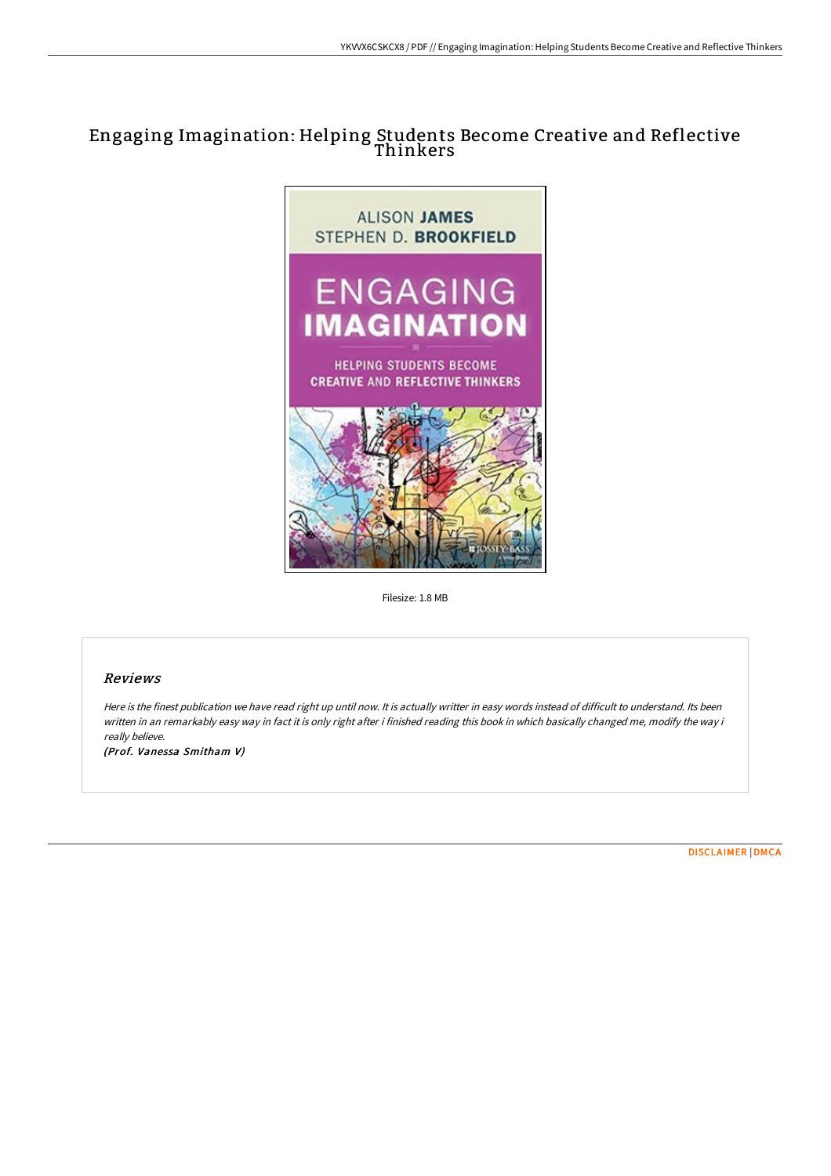# Engaging Imagination: Helping Students Become Creative and Reflective Thinkers



Filesize: 1.8 MB

## Reviews

Here is the finest publication we have read right up until now. It is actually writter in easy words instead of difficult to understand. Its been written in an remarkably easy way in fact it is only right after i finished reading this book in which basically changed me, modify the way i really believe.

(Prof. Vanessa Smitham V)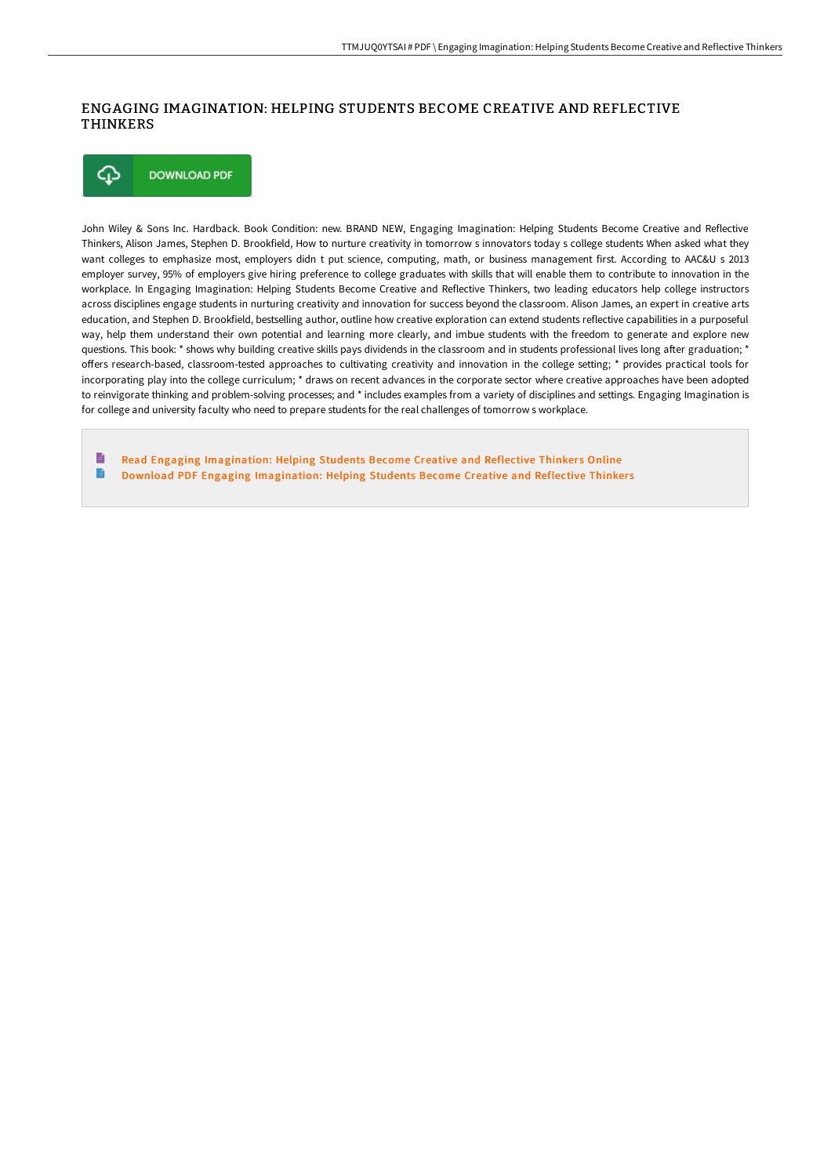### ENGAGING IMAGINATION: HELPING STUDENTS BECOME CREATIVE AND REFLECTIVE THINKERS



John Wiley & Sons Inc. Hardback. Book Condition: new. BRAND NEW, Engaging Imagination: Helping Students Become Creative and Reflective Thinkers, Alison James, Stephen D. Brookfield, How to nurture creativity in tomorrow s innovators today s college students When asked what they want colleges to emphasize most, employers didn t put science, computing, math, or business management first. According to AAC&U s 2013 employer survey, 95% of employers give hiring preference to college graduates with skills that will enable them to contribute to innovation in the workplace. In Engaging Imagination: Helping Students Become Creative and Reflective Thinkers, two leading educators help college instructors across disciplines engage students in nurturing creativity and innovation for success beyond the classroom. Alison James, an expert in creative arts education, and Stephen D. Brookfield, bestselling author, outline how creative exploration can extend students reflective capabilities in a purposeful way, help them understand their own potential and learning more clearly, and imbue students with the freedom to generate and explore new questions. This book: \* shows why building creative skills pays dividends in the classroom and in students professional lives long after graduation: \* offers research-based, classroom-tested approaches to cultivating creativity and innovation in the college setting; \* provides practical tools for incorporating play into the college curriculum; \* draws on recent advances in the corporate sector where creative approaches have been adopted to reinvigorate thinking and problem-solving processes; and \* includes examples from a variety of disciplines and settings. Engaging Imagination is for college and university faculty who need to prepare students for the real challenges of tomorrow s workplace.

B Read Engaging [Imagination:](http://bookera.tech/engaging-imagination-helping-students-become-cre.html) Helping Students Become Creative and Reflective Thinkers Online  $\blacktriangleright$ Download PDF Engaging [Imagination:](http://bookera.tech/engaging-imagination-helping-students-become-cre.html) Helping Students Become Creative and Reflective Thinkers